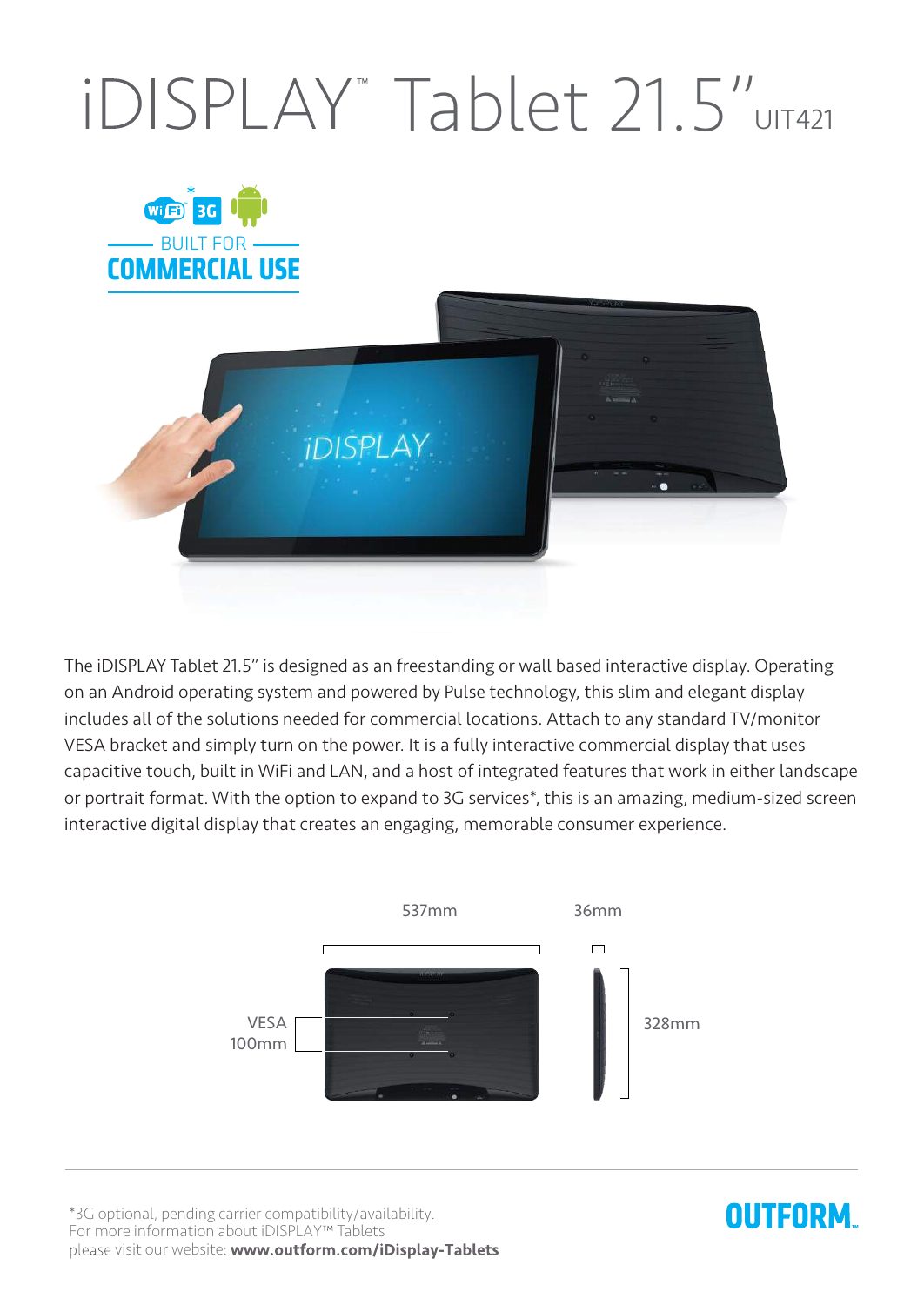## IDISPLAY<sup>"</sup> Tablet 21.5" UIT421



The iDISPLAY Tablet 21.5" is designed as an freestanding or wall based interactive display. Operating on an Android operating system and powered by Pulse technology, this slim and elegant display includes all of the solutions needed for commercial locations. Attach to any standard TV/monitor VESA bracket and simply turn on the power. It is a fully interactive commercial display that uses capacitive touch, built in WiFi and LAN, and a host of integrated features that work in either landscape or portrait format. With the option to expand to 3G services\*, this is an amazing, medium-sized screen interactive digital display that creates an engaging, memorable consumer experience.



\*3G optional, pending carrier compatibility/availability. For more information about iDISPLAY<sup>™</sup> Tablets please visit our website: www.outform.com/iDisplay-Tablets

## **OUTFORM**